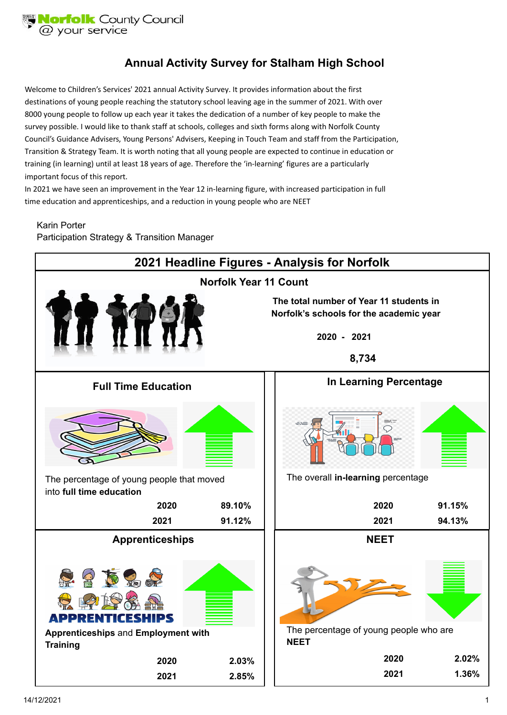

## **Annual Activity Survey for Stalham High School**

Welcome to Children's Services' 2021 annual Activity Survey. It provides information about the first destinations of young people reaching the statutory school leaving age in the summer of 2021. With over 8000 young people to follow up each year it takes the dedication of a number of key people to make the survey possible. I would like to thank staff at schools, colleges and sixth forms along with Norfolk County Council's Guidance Advisers, Young Persons' Advisers, Keeping in Touch Team and staff from the Participation, Transition & Strategy Team. It is worth noting that all young people are expected to continue in education or training (in learning) until at least 18 years of age. Therefore the 'in-learning' figures are a particularly important focus of this report.

In 2021 we have seen an improvement in the Year 12 in-learning figure, with increased participation in full time education and apprenticeships, and a reduction in young people who are NEET

#### Karin Porter

Participation Strategy & Transition Manager

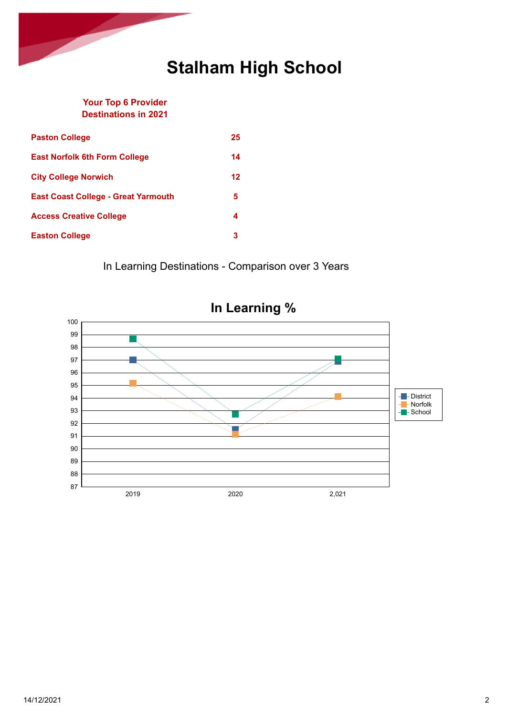# **Stalham High School**

#### **Your Top 6 Provider Destinations in 2021**

Z

Z

| <b>Paston College</b>                      | 25      |
|--------------------------------------------|---------|
| <b>East Norfolk 6th Form College</b>       | 14      |
| <b>City College Norwich</b>                | $12 \,$ |
| <b>East Coast College - Great Yarmouth</b> | 5       |
| <b>Access Creative College</b>             | 4       |
| <b>Easton College</b>                      | 3       |

In Learning Destinations - Comparison over 3 Years

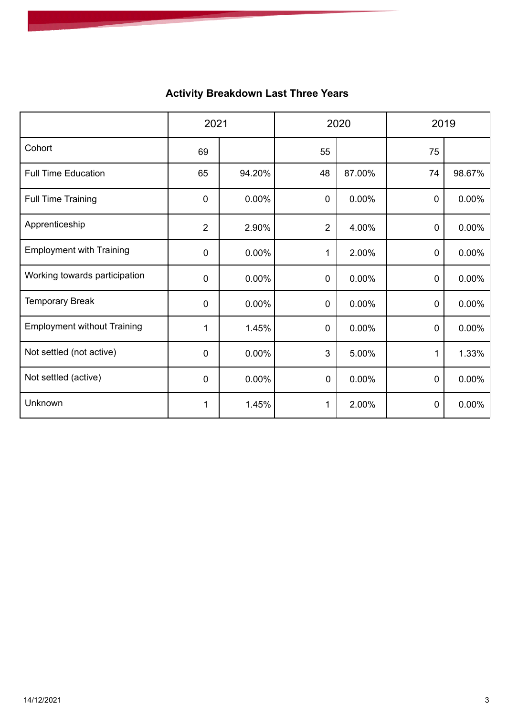# **Activity Breakdown Last Three Years**

|                                    | 2021           |        | 2020           |        | 2019           |        |
|------------------------------------|----------------|--------|----------------|--------|----------------|--------|
| Cohort                             | 69             |        | 55             |        | 75             |        |
| <b>Full Time Education</b>         | 65             | 94.20% | 48             | 87.00% | 74             | 98.67% |
| <b>Full Time Training</b>          | $\mathbf 0$    | 0.00%  | $\mathbf{0}$   | 0.00%  | $\mathbf 0$    | 0.00%  |
| Apprenticeship                     | $\overline{2}$ | 2.90%  | $\overline{2}$ | 4.00%  | $\mathbf 0$    | 0.00%  |
| <b>Employment with Training</b>    | 0              | 0.00%  | 1              | 2.00%  | 0              | 0.00%  |
| Working towards participation      | 0              | 0.00%  | $\mathbf 0$    | 0.00%  | 0              | 0.00%  |
| <b>Temporary Break</b>             | 0              | 0.00%  | $\mathbf 0$    | 0.00%  | 0              | 0.00%  |
| <b>Employment without Training</b> | 1              | 1.45%  | $\mathbf 0$    | 0.00%  | 0              | 0.00%  |
| Not settled (not active)           | $\mathbf 0$    | 0.00%  | 3              | 5.00%  | 1              | 1.33%  |
| Not settled (active)               | 0              | 0.00%  | $\mathbf 0$    | 0.00%  | $\overline{0}$ | 0.00%  |
| Unknown                            | 1              | 1.45%  | 1              | 2.00%  | 0              | 0.00%  |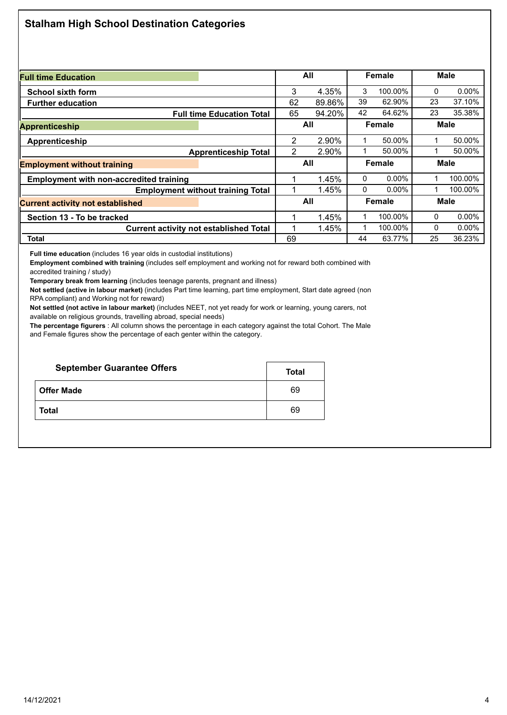### **Stalham High School Destination Categories**

| <b>Full time Education</b>                     | All                          |        | <b>Female</b> |          | <b>Male</b> |             |  |
|------------------------------------------------|------------------------------|--------|---------------|----------|-------------|-------------|--|
| <b>School sixth form</b>                       | 3                            | 4.35%  | 3             | 100.00%  | 0           | 0.00%       |  |
| <b>Further education</b>                       | 62                           | 89.86% | 39            | 62.90%   | 23          | 37.10%      |  |
| <b>Full time Education Total</b>               | 65                           | 94.20% | 42            | 64.62%   | 23          | 35.38%      |  |
| <b>Apprenticeship</b>                          | All<br><b>Female</b>         |        | <b>Male</b>   |          |             |             |  |
| Apprenticeship                                 | 2                            | 2.90%  | 1             | 50.00%   |             | 50.00%      |  |
| <b>Apprenticeship Total</b>                    | $\overline{2}$               | 2.90%  |               | 50.00%   |             | 50.00%      |  |
| <b>Employment without training</b>             | <b>Male</b><br>All<br>Female |        |               |          |             |             |  |
| <b>Employment with non-accredited training</b> |                              | 1.45%  | 0             | $0.00\%$ |             | 100.00%     |  |
| <b>Employment without training Total</b>       |                              | 1.45%  | 0             | $0.00\%$ |             | 100.00%     |  |
| <b>Current activity not established</b>        | All                          |        | Female        |          |             | <b>Male</b> |  |
| Section 13 - To be tracked                     |                              | 1.45%  |               | 100.00%  | 0           | 0.00%       |  |
| <b>Current activity not established Total</b>  |                              | 1.45%  |               | 100.00%  | 0           | $0.00\%$    |  |
| <b>Total</b>                                   | 69                           |        | 44            | 63.77%   | 25          | 36.23%      |  |

**Full time education** (includes 16 year olds in custodial institutions)

**Employment combined with training** (includes self employment and working not for reward both combined with accredited training / study)

**Temporary break from learning** (includes teenage parents, pregnant and illness)

**Not settled (active in labour market)** (includes Part time learning, part time employment, Start date agreed (non RPA compliant) and Working not for reward)

**Not settled (not active in labour market)** (includes NEET, not yet ready for work or learning, young carers, not available on religious grounds, travelling abroad, special needs)

**The percentage figurers** : All column shows the percentage in each category against the total Cohort. The Male and Female figures show the percentage of each genter within the category.

| <b>September Guarantee Offers</b> | Total |
|-----------------------------------|-------|
| <b>Offer Made</b>                 | 69    |
| Total                             | 69    |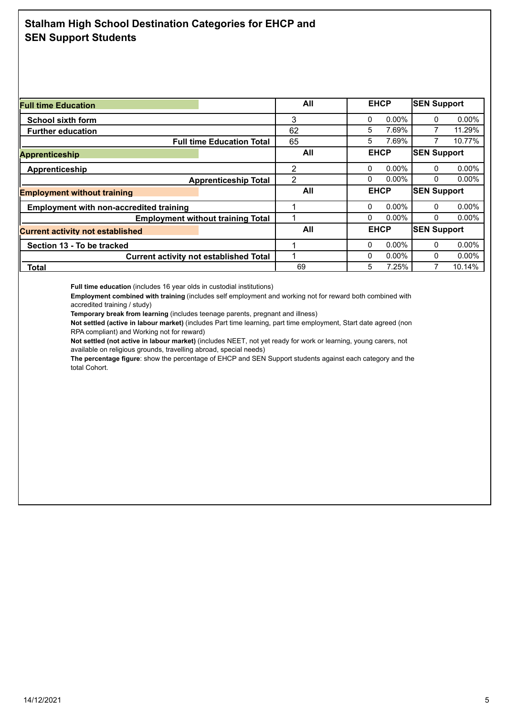### **Stalham High School Destination Categories for EHCP and SEN Support Students**

| <b>Full time Education</b>                     | All | <b>EHCP</b>   | <b>SEN Support</b> |
|------------------------------------------------|-----|---------------|--------------------|
| <b>School sixth form</b>                       | 3   | $0.00\%$<br>0 | $0.00\%$<br>0      |
| <b>Further education</b>                       | 62  | 5<br>7.69%    | 11.29%             |
| <b>Full time Education Total</b>               | 65  | 7.69%<br>5    | 10.77%             |
| Apprenticeship                                 | All | <b>EHCP</b>   | <b>SEN Support</b> |
| Apprenticeship                                 | 2   | $0.00\%$<br>0 | $0.00\%$<br>0      |
| <b>Apprenticeship Total</b>                    | 2   | $0.00\%$<br>0 | $0.00\%$           |
| <b>Employment without training</b>             | All | <b>EHCP</b>   | <b>SEN Support</b> |
| <b>Employment with non-accredited training</b> |     | $0.00\%$<br>0 | $0.00\%$<br>0      |
| <b>Employment without training Total</b>       |     | $0.00\%$<br>0 | $0.00\%$<br>0      |
| <b>Current activity not established</b>        | All | <b>EHCP</b>   | <b>SEN Support</b> |
| Section 13 - To be tracked                     |     | $0.00\%$<br>0 | 0.00%<br>0         |
| <b>Current activity not established Total</b>  |     | $0.00\%$<br>0 | $0.00\%$<br>0      |
| <b>Total</b>                                   | 69  | 7.25%<br>5    | 10.14%             |

**Full time education** (includes 16 year olds in custodial institutions)

**Employment combined with training** (includes self employment and working not for reward both combined with accredited training / study)

**Temporary break from learning** (includes teenage parents, pregnant and illness)

**Not settled (active in labour market)** (includes Part time learning, part time employment, Start date agreed (non RPA compliant) and Working not for reward)

**Not settled (not active in labour market)** (includes NEET, not yet ready for work or learning, young carers, not available on religious grounds, travelling abroad, special needs)

**The percentage figure**: show the percentage of EHCP and SEN Support students against each category and the total Cohort.